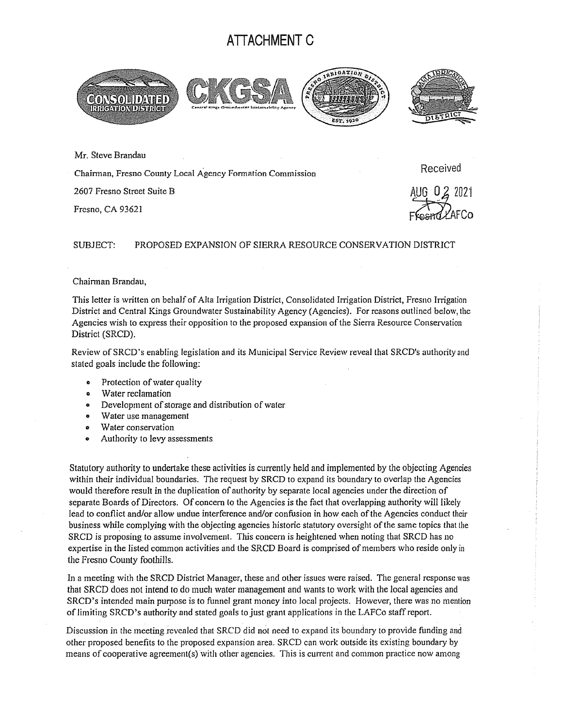## **A TI ACHMENT C**



Mr. Steve Brandau

Chainnan, Fresno County Local Agency Formation Commission

2607 Fresno Street Suite B

Fresno, CA 93621

Received

 $-2$   $-2$ Ffestra/CAFCo

## SUBJECT: PROPOSED EXPANSION OF SIERRA RESOURCE CONSERVATION DISTRICT

## Chairman Brandau,

This letter is written on behalf of Alta Irrigation District, Consolidated Inigation District, Fresno Inigation District and Central Kings Groundwater Sustainability Agency (Agencies). For reasons outlined below, the Agencies wish to express their opposition to the proposed expansion of the Sierra Resource Conservation District (SRCD).

Review of SRCD 's enabling legislation and its Municipal Service Review reveal that SRCD's authority and stated goals include the following:

- Protection of water quality
- a Water reclamation
- Development of storage and distribution of waler
- o Water use management
- a Water conservation
- Authority to levy assessments

Statutory authority to undertake these activities is currently held and implemented by the objecting Agencies within their individual boundaries. The request by SRCD to expand its boundary to overlap the Agencies would therefore result in the duplication of authority by separate local agencies under the direction of separate Boards of Directors. Of concern lo the Agencies is the fact that overlapping authority will likely lead to conflict and/or allow undue interference and/or confusion in how each of the Agencies conduct their business while complying with the objecting agencies historic statutory oversight of the same topics that the SRCD is proposing to assume involvement. This concern is heightened when noting that SRCD has no expertise in the listed common activities and the SRCD Board is comprised of members who reside only in the Fresno County foothills.

In a meeting with the SRCD District Manager, these and other issues were raised. The general response was that SRCD does not intend to do much water management and wants to work with the local agencies and SRCD's intended main purpose is to funnel grant money into local projects. However, there was no mention of limiting SRCD's authority and stated goals to just grant applications in the LAFCo staff report.

Discussion in the meeting revealed that SRCD did not need to expand its boundary to provide funding and other proposed benefits to the proposed expansion area. SRCD can work outside its existing boundary by means of cooperative agreement(s) with other agencies. This is current and common practice now among